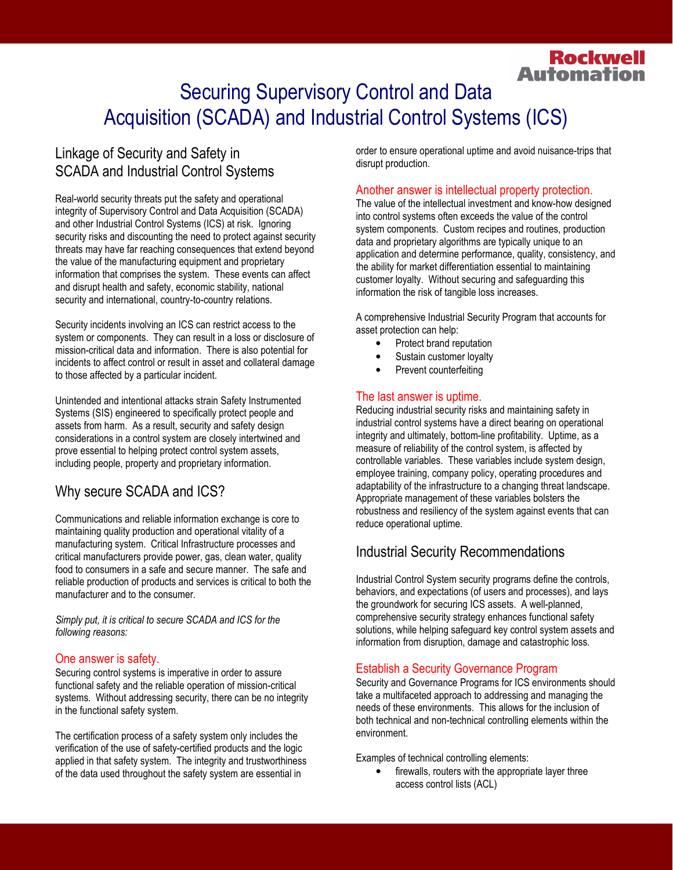# **Automation**  Securing Supervisory Control and Data Acquisition (SCADA) and Industrial Control Systems (ICS)

# Linkage of Security and Safety in SCADA and Industrial Control Systems

Real-world security threats put the safety and operational integrity of Supervisory Control and Data Acquisition (SCADA) and other Industrial Control Systems (ICS) at risk. Ignoring security risks and discounting the need to protect against security threats may have far reaching consequences that extend beyond the value of the manufacturing equipment and proprietary information that comprises the system. These events can affect and disrupt health and safety, economic stability, national security and international, country-to-country relations.

 Security incidents involving an ICS can restrict access to the system or components. They can result in a loss or disclosure of mission-critical data and information. There is also potential for incidents to affect control or result in asset and collateral damage to those affected by a particular incident.

 Unintended and intentional attacks strain Safety Instrumented Systems (SIS) engineered to specifically protect people and assets from harm. As a result, security and safety design considerations in a control system are closely intertwined and prove essential to helping protect control system assets, including people, property and proprietary information.

# Why secure SCADA and ICS?

 Communications and reliable information exchange is core to maintaining quality production and operational vitality of a manufacturing system. Critical Infrastructure processes and critical manufacturers provide power, gas, clean water, quality food to consumers in a safe and secure manner. The safe and reliable production of products and services is critical to both the manufacturer and to the consumer.

 Simply put, it is critical to secure SCADA and ICS for the following reasons:

#### One answer is safety.

 Securing control systems is imperative in order to assure functional safety and the reliable operation of mission-critical systems. Without addressing security, there can be no integrity in the functional safety system.

 The certification process of a safety system only includes the verification of the use of safety-certified products and the logic applied in that safety system. The integrity and trustworthiness of the data used throughout the safety system are essential in

order to ensure operational uptime and avoid nuisance-trips that disrupt production.

**Rockwell** 

### Another answer is intellectual property protection.

The value of the intellectual investment and know-how designed into control systems often exceeds the value of the control system components. Custom recipes and routines, production data and proprietary algorithms are typically unique to an application and determine performance, quality, consistency, and the ability for market differentiation essential to maintaining customer loyalty. Without securing and safeguarding this information the risk of tangible loss increases.

 A comprehensive Industrial Security Program that accounts for asset protection can help:

- • Protect brand reputation
- Sustain customer loyalty
- Prevent counterfeiting

### The last answer is uptime.

 Reducing industrial security risks and maintaining safety in industrial control systems have a direct bearing on operational integrity and ultimately, bottom-line profitability. Uptime, as a measure of reliability of the control system, is affected by controllable variables. These variables include system design, employee training, company policy, operating procedures and adaptability of the infrastructure to a changing threat landscape. Appropriate management of these variables bolsters the robustness and resiliency of the system against events that can reduce operational uptime.

# Industrial Security Recommendations

 Industrial Control System security programs define the controls, behaviors, and expectations (of users and processes), and lays the groundwork for securing ICS assets. A well-planned, comprehensive security strategy enhances functional safety solutions, while helping safeguard key control system assets and information from disruption, damage and catastrophic loss.

### Establish a Security Governance Program

 Security and Governance Programs for ICS environments should take a multifaceted approach to addressing and managing the needs of these environments. This allows for the inclusion of both technical and non-technical controlling elements within the environment.

Examples of technical controlling elements:

• firewalls, routers with the appropriate layer three access control lists (ACL)